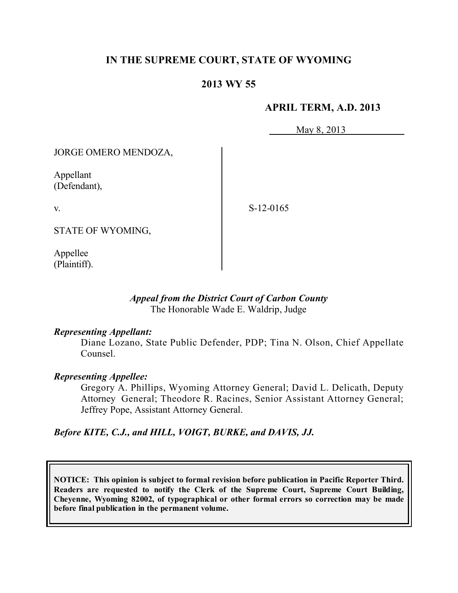# **IN THE SUPREME COURT, STATE OF WYOMING**

# **2013 WY 55**

## **APRIL TERM, A.D. 2013**

May 8, 2013

JORGE OMERO MENDOZA,

Appellant (Defendant),

v.

S-12-0165

STATE OF WYOMING,

Appellee (Plaintiff).

## *Appeal from the District Court of Carbon County* The Honorable Wade E. Waldrip, Judge

### *Representing Appellant:*

Diane Lozano, State Public Defender, PDP; Tina N. Olson, Chief Appellate Counsel.

### *Representing Appellee:*

Gregory A. Phillips, Wyoming Attorney General; David L. Delicath, Deputy Attorney General; Theodore R. Racines, Senior Assistant Attorney General; Jeffrey Pope, Assistant Attorney General.

*Before KITE, C.J., and HILL, VOIGT, BURKE, and DAVIS, JJ.*

**NOTICE: This opinion is subject to formal revision before publication in Pacific Reporter Third. Readers are requested to notify the Clerk of the Supreme Court, Supreme Court Building, Cheyenne, Wyoming 82002, of typographical or other formal errors so correction may be made before final publication in the permanent volume.**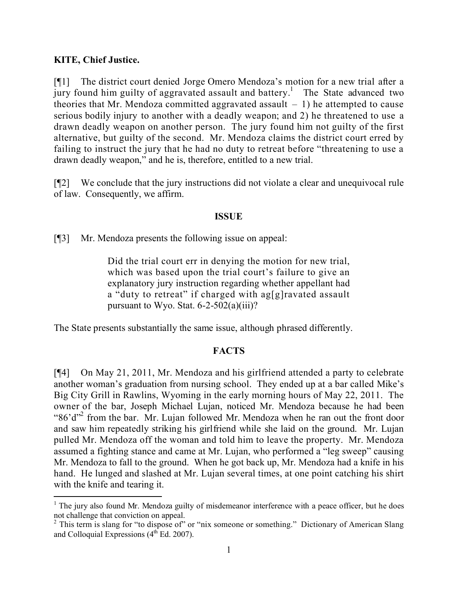# **KITE, Chief Justice.**

 $\overline{a}$ 

[¶1] The district court denied Jorge Omero Mendoza's motion for a new trial after a jury found him guilty of aggravated assault and battery.<sup>1</sup> The State advanced two theories that Mr. Mendoza committed aggravated assault  $-1$ ) he attempted to cause serious bodily injury to another with a deadly weapon; and 2) he threatened to use a drawn deadly weapon on another person. The jury found him not guilty of the first alternative, but guilty of the second. Mr. Mendoza claims the district court erred by failing to instruct the jury that he had no duty to retreat before "threatening to use a drawn deadly weapon," and he is, therefore, entitled to a new trial.

[¶2] We conclude that the jury instructions did not violate a clear and unequivocal rule of law. Consequently, we affirm.

### **ISSUE**

[¶3] Mr. Mendoza presents the following issue on appeal:

Did the trial court err in denying the motion for new trial, which was based upon the trial court's failure to give an explanatory jury instruction regarding whether appellant had a "duty to retreat" if charged with ag[g]ravated assault pursuant to Wyo. Stat.  $6-2-502(a)(iii)$ ?

The State presents substantially the same issue, although phrased differently.

# **FACTS**

[¶4] On May 21, 2011, Mr. Mendoza and his girlfriend attended a party to celebrate another woman's graduation from nursing school. They ended up at a bar called Mike's Big City Grill in Rawlins, Wyoming in the early morning hours of May 22, 2011. The owner of the bar, Joseph Michael Lujan, noticed Mr. Mendoza because he had been " $86'd''$  from the bar. Mr. Lujan followed Mr. Mendoza when he ran out the front door and saw him repeatedly striking his girlfriend while she laid on the ground. Mr. Lujan pulled Mr. Mendoza off the woman and told him to leave the property. Mr. Mendoza assumed a fighting stance and came at Mr. Lujan, who performed a "leg sweep" causing Mr. Mendoza to fall to the ground. When he got back up, Mr. Mendoza had a knife in his hand. He lunged and slashed at Mr. Lujan several times, at one point catching his shirt with the knife and tearing it.

 $<sup>1</sup>$  The jury also found Mr. Mendoza guilty of misdemeanor interference with a peace officer, but he does</sup> not challenge that conviction on appeal.

<sup>&</sup>lt;sup>2</sup> This term is slang for "to dispose of" or "nix someone or something." Dictionary of American Slang and Colloquial Expressions  $(4<sup>th</sup> Ed. 2007)$ .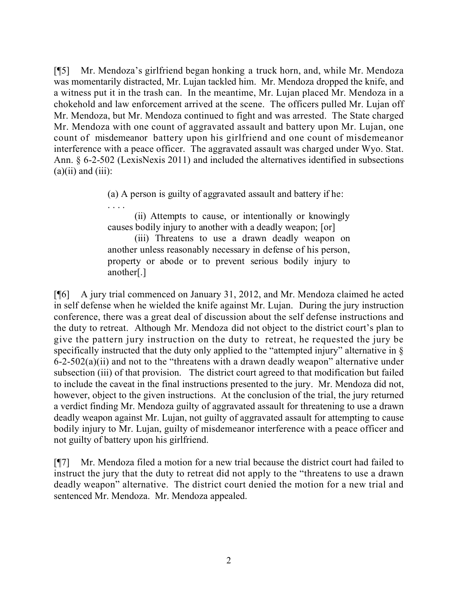[¶5] Mr. Mendoza's girlfriend began honking a truck horn, and, while Mr. Mendoza was momentarily distracted, Mr. Lujan tackled him. Mr. Mendoza dropped the knife, and a witness put it in the trash can. In the meantime, Mr. Lujan placed Mr. Mendoza in a chokehold and law enforcement arrived at the scene. The officers pulled Mr. Lujan off Mr. Mendoza, but Mr. Mendoza continued to fight and was arrested. The State charged Mr. Mendoza with one count of aggravated assault and battery upon Mr. Lujan, one count of misdemeanor battery upon his girlfriend and one count of misdemeanor interference with a peace officer. The aggravated assault was charged under Wyo. Stat. Ann. § 6-2-502 (LexisNexis 2011) and included the alternatives identified in subsections  $(a)(ii)$  and  $(iii)$ :

(a) A person is guilty of aggravated assault and battery if he:

. . . .

(ii) Attempts to cause, or intentionally or knowingly causes bodily injury to another with a deadly weapon; [or]

(iii) Threatens to use a drawn deadly weapon on another unless reasonably necessary in defense of his person, property or abode or to prevent serious bodily injury to another[.]

[¶6] A jury trial commenced on January 31, 2012, and Mr. Mendoza claimed he acted in self defense when he wielded the knife against Mr. Lujan. During the jury instruction conference, there was a great deal of discussion about the self defense instructions and the duty to retreat. Although Mr. Mendoza did not object to the district court's plan to give the pattern jury instruction on the duty to retreat, he requested the jury be specifically instructed that the duty only applied to the "attempted injury" alternative in  $\delta$ 6-2-502(a)(ii) and not to the "threatens with a drawn deadly weapon" alternative under subsection (iii) of that provision. The district court agreed to that modification but failed to include the caveat in the final instructions presented to the jury. Mr. Mendoza did not, however, object to the given instructions. At the conclusion of the trial, the jury returned a verdict finding Mr. Mendoza guilty of aggravated assault for threatening to use a drawn deadly weapon against Mr. Lujan, not guilty of aggravated assault for attempting to cause bodily injury to Mr. Lujan, guilty of misdemeanor interference with a peace officer and not guilty of battery upon his girlfriend.

[¶7] Mr. Mendoza filed a motion for a new trial because the district court had failed to instruct the jury that the duty to retreat did not apply to the "threatens to use a drawn deadly weapon" alternative. The district court denied the motion for a new trial and sentenced Mr. Mendoza. Mr. Mendoza appealed.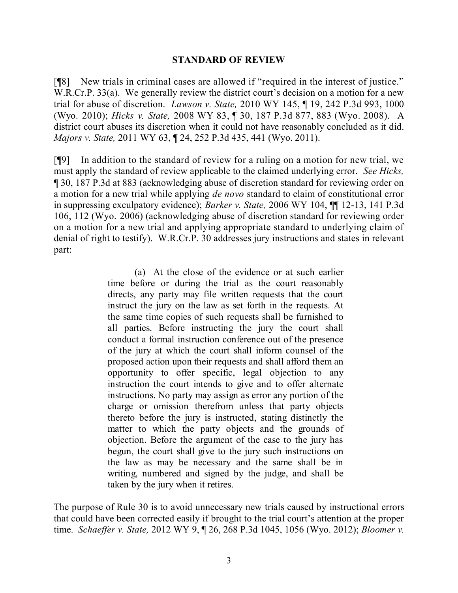#### **STANDARD OF REVIEW**

[¶8] New trials in criminal cases are allowed if "required in the interest of justice." W.R.Cr.P. 33(a). We generally review the district court's decision on a motion for a new trial for abuse of discretion. *Lawson v. State,* 2010 WY 145, ¶ 19, 242 P.3d 993, 1000 (Wyo. 2010); *Hicks v. State,* 2008 WY 83, ¶ 30, 187 P.3d 877, 883 (Wyo. 2008). A district court abuses its discretion when it could not have reasonably concluded as it did. *Majors v. State,* 2011 WY 63, ¶ 24, 252 P.3d 435, 441 (Wyo. 2011).

[¶9] In addition to the standard of review for a ruling on a motion for new trial, we must apply the standard of review applicable to the claimed underlying error. *See Hicks,*  ¶ 30, 187 P.3d at 883 (acknowledging abuse of discretion standard for reviewing order on a motion for a new trial while applying *de novo* standard to claim of constitutional error in suppressing exculpatory evidence); *Barker v. State,* 2006 WY 104, ¶¶ 12-13, 141 P.3d 106, 112 (Wyo. 2006) (acknowledging abuse of discretion standard for reviewing order on a motion for a new trial and applying appropriate standard to underlying claim of denial of right to testify). W.R.Cr.P. 30 addresses jury instructions and states in relevant part:

> (a) At the close of the evidence or at such earlier time before or during the trial as the court reasonably directs, any party may file written requests that the court instruct the jury on the law as set forth in the requests. At the same time copies of such requests shall be furnished to all parties. Before instructing the jury the court shall conduct a formal instruction conference out of the presence of the jury at which the court shall inform counsel of the proposed action upon their requests and shall afford them an opportunity to offer specific, legal objection to any instruction the court intends to give and to offer alternate instructions. No party may assign as error any portion of the charge or omission therefrom unless that party objects thereto before the jury is instructed, stating distinctly the matter to which the party objects and the grounds of objection. Before the argument of the case to the jury has begun, the court shall give to the jury such instructions on the law as may be necessary and the same shall be in writing, numbered and signed by the judge, and shall be taken by the jury when it retires.

The purpose of Rule 30 is to avoid unnecessary new trials caused by instructional errors that could have been corrected easily if brought to the trial court's attention at the proper time. *Schaeffer v. State,* 2012 WY 9, ¶ 26, 268 P.3d 1045, 1056 (Wyo. 2012); *Bloomer v.*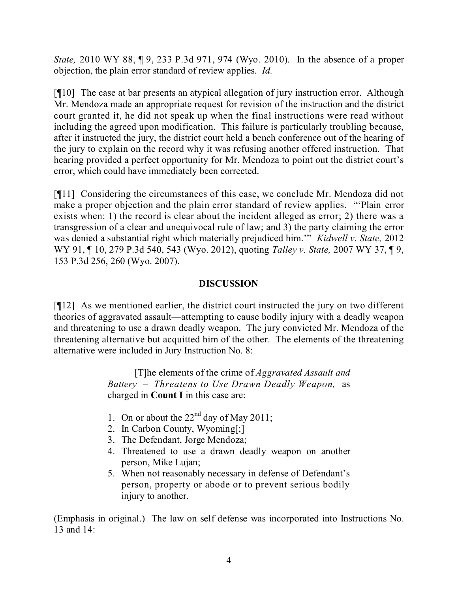*State,* 2010 WY 88, ¶ 9, 233 P.3d 971, 974 (Wyo. 2010). In the absence of a proper objection, the plain error standard of review applies. *Id.*

[¶10] The case at bar presents an atypical allegation of jury instruction error. Although Mr. Mendoza made an appropriate request for revision of the instruction and the district court granted it, he did not speak up when the final instructions were read without including the agreed upon modification. This failure is particularly troubling because, after it instructed the jury, the district court held a bench conference out of the hearing of the jury to explain on the record why it was refusing another offered instruction. That hearing provided a perfect opportunity for Mr. Mendoza to point out the district court's error, which could have immediately been corrected.

[¶11] Considering the circumstances of this case, we conclude Mr. Mendoza did not make a proper objection and the plain error standard of review applies. "'Plain error exists when: 1) the record is clear about the incident alleged as error; 2) there was a transgression of a clear and unequivocal rule of law; and 3) the party claiming the error was denied a substantial right which materially prejudiced him.'" *Kidwell v. State,* 2012 WY 91, ¶ 10, 279 P.3d 540, 543 (Wyo. 2012), quoting *Talley v. State,* 2007 WY 37, ¶ 9, 153 P.3d 256, 260 (Wyo. 2007).

# **DISCUSSION**

[¶12] As we mentioned earlier, the district court instructed the jury on two different theories of aggravated assault—attempting to cause bodily injury with a deadly weapon and threatening to use a drawn deadly weapon. The jury convicted Mr. Mendoza of the threatening alternative but acquitted him of the other. The elements of the threatening alternative were included in Jury Instruction No. 8:

> [T]he elements of the crime of *Aggravated Assault and Battery – Threatens to Use Drawn Deadly Weapon,* as charged in **Count I** in this case are:

- 1. On or about the  $22<sup>nd</sup>$  day of May 2011;
- 2. In Carbon County, Wyoming[;]
- 3. The Defendant, Jorge Mendoza;
- 4. Threatened to use a drawn deadly weapon on another person, Mike Lujan;
- 5. When not reasonably necessary in defense of Defendant's person, property or abode or to prevent serious bodily injury to another.

(Emphasis in original.) The law on self defense was incorporated into Instructions No. 13 and 14: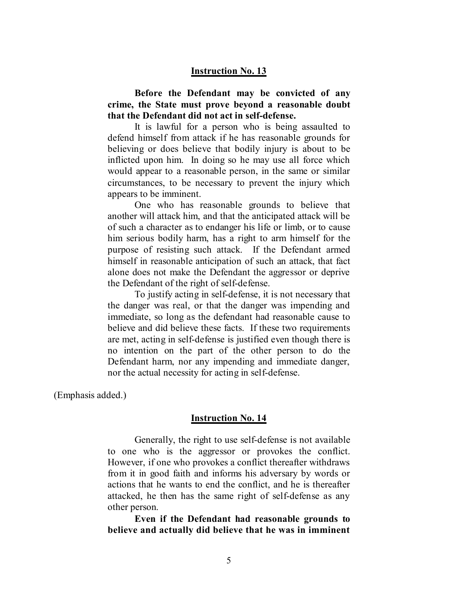#### **Instruction No. 13**

**Before the Defendant may be convicted of any crime, the State must prove beyond a reasonable doubt that the Defendant did not act in self-defense.**

It is lawful for a person who is being assaulted to defend himself from attack if he has reasonable grounds for believing or does believe that bodily injury is about to be inflicted upon him. In doing so he may use all force which would appear to a reasonable person, in the same or similar circumstances, to be necessary to prevent the injury which appears to be imminent.

One who has reasonable grounds to believe that another will attack him, and that the anticipated attack will be of such a character as to endanger his life or limb, or to cause him serious bodily harm, has a right to arm himself for the purpose of resisting such attack. If the Defendant armed himself in reasonable anticipation of such an attack, that fact alone does not make the Defendant the aggressor or deprive the Defendant of the right of self-defense.

To justify acting in self-defense, it is not necessary that the danger was real, or that the danger was impending and immediate, so long as the defendant had reasonable cause to believe and did believe these facts. If these two requirements are met, acting in self-defense is justified even though there is no intention on the part of the other person to do the Defendant harm, nor any impending and immediate danger, nor the actual necessity for acting in self-defense.

(Emphasis added.)

#### **Instruction No. 14**

Generally, the right to use self-defense is not available to one who is the aggressor or provokes the conflict. However, if one who provokes a conflict thereafter withdraws from it in good faith and informs his adversary by words or actions that he wants to end the conflict, and he is thereafter attacked, he then has the same right of self-defense as any other person.

**Even if the Defendant had reasonable grounds to believe and actually did believe that he was in imminent**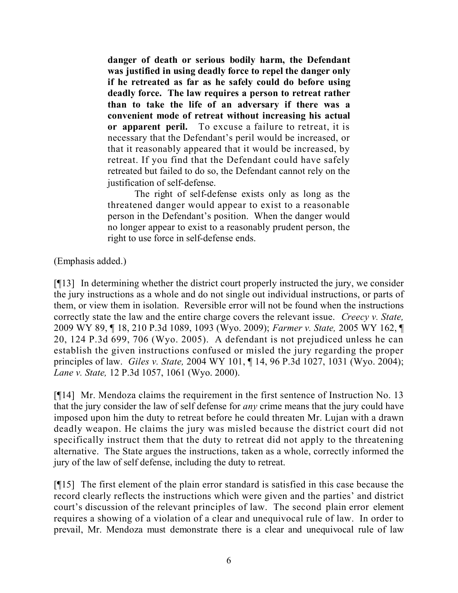**danger of death or serious bodily harm, the Defendant was justified in using deadly force to repel the danger only if he retreated as far as he safely could do before using deadly force. The law requires a person to retreat rather than to take the life of an adversary if there was a convenient mode of retreat without increasing his actual or apparent peril.** To excuse a failure to retreat, it is necessary that the Defendant's peril would be increased, or that it reasonably appeared that it would be increased, by retreat. If you find that the Defendant could have safely retreated but failed to do so, the Defendant cannot rely on the justification of self-defense.

The right of self-defense exists only as long as the threatened danger would appear to exist to a reasonable person in the Defendant's position. When the danger would no longer appear to exist to a reasonably prudent person, the right to use force in self-defense ends.

(Emphasis added.)

[¶13] In determining whether the district court properly instructed the jury, we consider the jury instructions as a whole and do not single out individual instructions, or parts of them, or view them in isolation. Reversible error will not be found when the instructions correctly state the law and the entire charge covers the relevant issue. *Creecy v. State,*  2009 WY 89, ¶ 18, 210 P.3d 1089, 1093 (Wyo. 2009); *Farmer v. State,* 2005 WY 162, ¶ 20, 124 P.3d 699, 706 (Wyo. 2005). A defendant is not prejudiced unless he can establish the given instructions confused or misled the jury regarding the proper principles of law. *Giles v. State,* 2004 WY 101, ¶ 14, 96 P.3d 1027, 1031 (Wyo. 2004); *Lane v. State,* 12 P.3d 1057, 1061 (Wyo. 2000).

[¶14] Mr. Mendoza claims the requirement in the first sentence of Instruction No. 13 that the jury consider the law of self defense for *any* crime means that the jury could have imposed upon him the duty to retreat before he could threaten Mr. Lujan with a drawn deadly weapon. He claims the jury was misled because the district court did not specifically instruct them that the duty to retreat did not apply to the threatening alternative. The State argues the instructions, taken as a whole, correctly informed the jury of the law of self defense, including the duty to retreat.

[¶15] The first element of the plain error standard is satisfied in this case because the record clearly reflects the instructions which were given and the parties' and district court's discussion of the relevant principles of law. The second plain error element requires a showing of a violation of a clear and unequivocal rule of law. In order to prevail, Mr. Mendoza must demonstrate there is a clear and unequivocal rule of law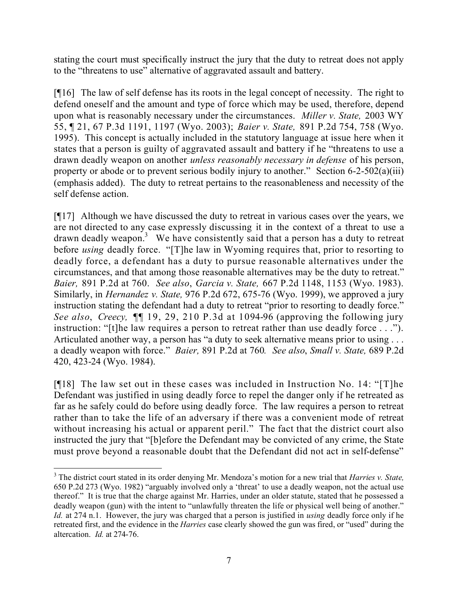stating the court must specifically instruct the jury that the duty to retreat does not apply to the "threatens to use" alternative of aggravated assault and battery.

[¶16] The law of self defense has its roots in the legal concept of necessity. The right to defend oneself and the amount and type of force which may be used, therefore, depend upon what is reasonably necessary under the circumstances. *Miller v. State,* 2003 WY 55, ¶ 21, 67 P.3d 1191, 1197 (Wyo. 2003); *Baier v. State,* 891 P.2d 754, 758 (Wyo. 1995). This concept is actually included in the statutory language at issue here when it states that a person is guilty of aggravated assault and battery if he "threatens to use a drawn deadly weapon on another *unless reasonably necessary in defense* of his person, property or abode or to prevent serious bodily injury to another." Section  $6-2-502(a)(iii)$ (emphasis added). The duty to retreat pertains to the reasonableness and necessity of the self defense action.

[¶17] Although we have discussed the duty to retreat in various cases over the years, we are not directed to any case expressly discussing it in the context of a threat to use a drawn deadly weapon.<sup>3</sup> We have consistently said that a person has a duty to retreat before *using* deadly force. "[T]he law in Wyoming requires that, prior to resorting to deadly force, a defendant has a duty to pursue reasonable alternatives under the circumstances, and that among those reasonable alternatives may be the duty to retreat." *Baier,* 891 P.2d at 760. *See also*, *Garcia v. State,* 667 P.2d 1148, 1153 (Wyo. 1983). Similarly, in *Hernandez v. State,* 976 P.2d 672, 675-76 (Wyo. 1999), we approved a jury instruction stating the defendant had a duty to retreat "prior to resorting to deadly force." *See also*, *Creecy,* ¶¶ 19, 29, 210 P.3d at 1094-96 (approving the following jury instruction: "[t]he law requires a person to retreat rather than use deadly force . . ."). Articulated another way, a person has "a duty to seek alternative means prior to using ... a deadly weapon with force." *Baier,* 891 P.2d at 760*. See also*, *Small v. State,* 689 P.2d 420, 423-24 (Wyo. 1984).

[¶18] The law set out in these cases was included in Instruction No. 14: "[T]he Defendant was justified in using deadly force to repel the danger only if he retreated as far as he safely could do before using deadly force. The law requires a person to retreat rather than to take the life of an adversary if there was a convenient mode of retreat without increasing his actual or apparent peril." The fact that the district court also instructed the jury that "[b]efore the Defendant may be convicted of any crime, the State must prove beyond a reasonable doubt that the Defendant did not act in self-defense"

 $\overline{a}$ <sup>3</sup> The district court stated in its order denying Mr. Mendoza's motion for a new trial that *Harries v. State,* 650 P.2d 273 (Wyo. 1982) "arguably involved only a 'threat' to use a deadly weapon, not the actual use thereof." It is true that the charge against Mr. Harries, under an older statute, stated that he possessed a deadly weapon (gun) with the intent to "unlawfully threaten the life or physical well being of another." *Id.* at 274 n.1. However, the jury was charged that a person is justified in *using* deadly force only if he retreated first, and the evidence in the *Harries* case clearly showed the gun was fired, or "used" during the altercation. *Id.* at 274-76.